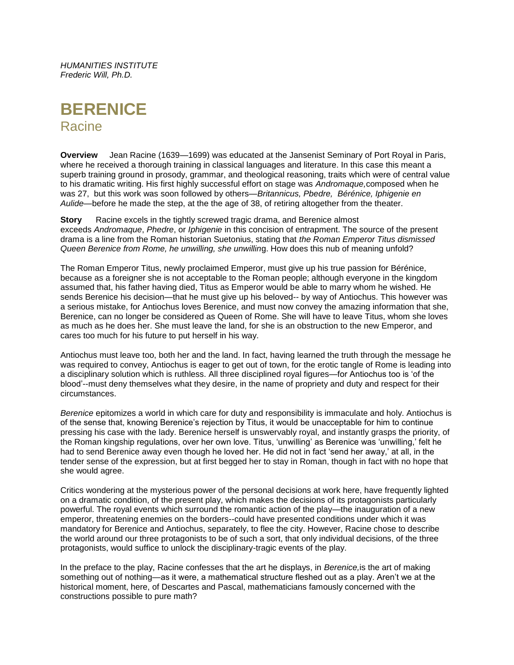*HUMANITIES INSTITUTE Frederic Will, Ph.D.*



**Overview** Jean Racine (1639—1699) was educated at the Jansenist Seminary of Port Royal in Paris, where he received a thorough training in classical languages and literature. In this case this meant a superb training ground in prosody, grammar, and theological reasoning, traits which were of central value to his dramatic writing. His first highly successful effort on stage was *Andromaque,*composed when he was 27, but this work was soon followed by others—*Britannicus, Pbedre, Bérénice, Iphigenie en Aulide*—before he made the step, at the the age of 38, of retiring altogether from the theater.

**Story** Racine excels in the tightly screwed tragic drama, and Berenice almost exceeds *Andromaque*, *Phedre*, or *Iphigenie* in this concision of entrapment. The source of the present drama is a line from the Roman historian Suetonius, stating that *the Roman Emperor Titus dismissed Queen Berenice from Rome, he unwilling, she unwillin*g. How does this nub of meaning unfold?

The Roman Emperor Titus, newly proclaimed Emperor, must give up his true passion for Bérénice, because as a foreigner she is not acceptable to the Roman people; although everyone in the kingdom assumed that, his father having died, Titus as Emperor would be able to marry whom he wished. He sends Berenice his decision—that he must give up his beloved-- by way of Antiochus. This however was a serious mistake, for Antiochus loves Berenice, and must now convey the amazing information that she, Berenice, can no longer be considered as Queen of Rome. She will have to leave Titus, whom she loves as much as he does her. She must leave the land, for she is an obstruction to the new Emperor, and cares too much for his future to put herself in his way.

Antiochus must leave too, both her and the land. In fact, having learned the truth through the message he was required to convey, Antiochus is eager to get out of town, for the erotic tangle of Rome is leading into a disciplinary solution which is ruthless. All three disciplined royal figures—for Antiochus too is 'of the blood'--must deny themselves what they desire, in the name of propriety and duty and respect for their circumstances.

*Berenice* epitomizes a world in which care for duty and responsibility is immaculate and holy. Antiochus is of the sense that, knowing Berenice's rejection by Titus, it would be unacceptable for him to continue pressing his case with the lady. Berenice herself is unswervably royal, and instantly grasps the priority, of the Roman kingship regulations, over her own love. Titus, 'unwilling' as Berenice was 'unwilling,' felt he had to send Berenice away even though he loved her. He did not in fact 'send her away,' at all, in the tender sense of the expression, but at first begged her to stay in Roman, though in fact with no hope that she would agree.

Critics wondering at the mysterious power of the personal decisions at work here, have frequently lighted on a dramatic condition, of the present play, which makes the decisions of its protagonists particularly powerful. The royal events which surround the romantic action of the play—the inauguration of a new emperor, threatening enemies on the borders--could have presented conditions under which it was mandatory for Berenice and Antiochus, separately, to flee the city. However, Racine chose to describe the world around our three protagonists to be of such a sort, that only individual decisions, of the three protagonists, would suffice to unlock the disciplinary-tragic events of the play.

In the preface to the play, Racine confesses that the art he displays, in *Berenice,*is the art of making something out of nothing—as it were, a mathematical structure fleshed out as a play. Aren't we at the historical moment, here, of Descartes and Pascal, mathematicians famously concerned with the constructions possible to pure math?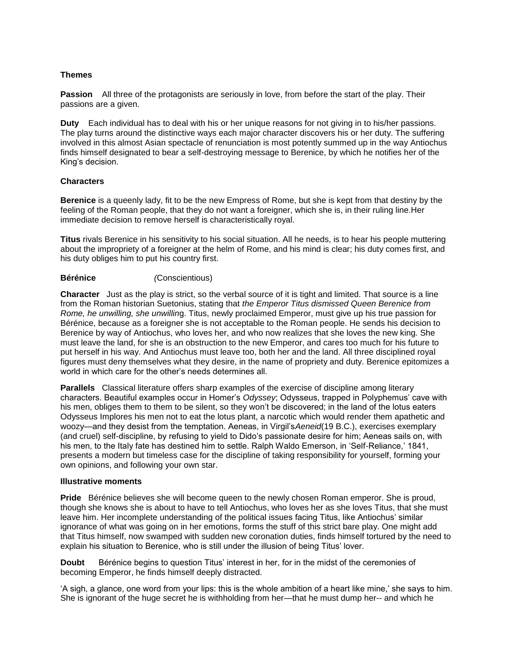# **Themes**

**Passion** All three of the protagonists are seriously in love, from before the start of the play. Their passions are a given.

**Duty** Each individual has to deal with his or her unique reasons for not giving in to his/her passions. The play turns around the distinctive ways each major character discovers his or her duty. The suffering involved in this almost Asian spectacle of renunciation is most potently summed up in the way Antiochus finds himself designated to bear a self-destroying message to Berenice, by which he notifies her of the King's decision.

## **Characters**

**Berenice** is a queenly lady, fit to be the new Empress of Rome, but she is kept from that destiny by the feeling of the Roman people, that they do not want a foreigner, which she is, in their ruling line.Her immediate decision to remove herself is characteristically royal.

**Titus** rivals Berenice in his sensitivity to his social situation. All he needs, is to hear his people muttering about the impropriety of a foreigner at the helm of Rome, and his mind is clear; his duty comes first, and his duty obliges him to put his country first.

## **Bérénice** *(*Conscientious)

**Character** Just as the play is strict, so the verbal source of it is tight and limited. That source is a line from the Roman historian Suetonius, stating that *the Emperor Titus dismissed Queen Berenice from Rome, he unwilling, she unwillin*g. Titus, newly proclaimed Emperor, must give up his true passion for Bérénice, because as a foreigner she is not acceptable to the Roman people. He sends his decision to Berenice by way of Antiochus, who loves her, and who now realizes that she loves the new king. She must leave the land, for she is an obstruction to the new Emperor, and cares too much for his future to put herself in his way. And Antiochus must leave too, both her and the land. All three disciplined royal figures must deny themselves what they desire, in the name of propriety and duty. Berenice epitomizes a world in which care for the other's needs determines all.

**Parallels** Classical literature offers sharp examples of the exercise of discipline among literary characters. Beautiful examples occur in Homer's *Odyssey*; Odysseus, trapped in Polyphemus' cave with his men, obliges them to them to be silent, so they won't be discovered; in the land of the lotus eaters Odysseus Implores his men not to eat the lotus plant, a narcotic which would render them apathetic and woozy—and they desist from the temptation. Aeneas, in Virgil's*Aeneid*(19 B.C.), exercises exemplary (and cruel) self-discipline, by refusing to yield to Dido's passionate desire for him; Aeneas sails on, with his men, to the Italy fate has destined him to settle. Ralph Waldo Emerson, in 'Self-Reliance,' 1841, presents a modern but timeless case for the discipline of taking responsibility for yourself, forming your own opinions, and following your own star.

#### **Illustrative moments**

**Pride** Bérénice believes she will become queen to the newly chosen Roman emperor. She is proud, though she knows she is about to have to tell Antiochus, who loves her as she loves Titus, that she must leave him. Her incomplete understanding of the political issues facing Titus, like Antiochus' similar ignorance of what was going on in her emotions, forms the stuff of this strict bare play. One might add that Titus himself, now swamped with sudden new coronation duties, finds himself tortured by the need to explain his situation to Berenice, who is still under the illusion of being Titus' lover.

**Doubt** Bérénice begins to question Titus' interest in her, for in the midst of the ceremonies of becoming Emperor, he finds himself deeply distracted.

'A sigh, a glance, one word from your lips: this is the whole ambition of a heart like mine,' she says to him. She is ignorant of the huge secret he is withholding from her—that he must dump her-- and which he